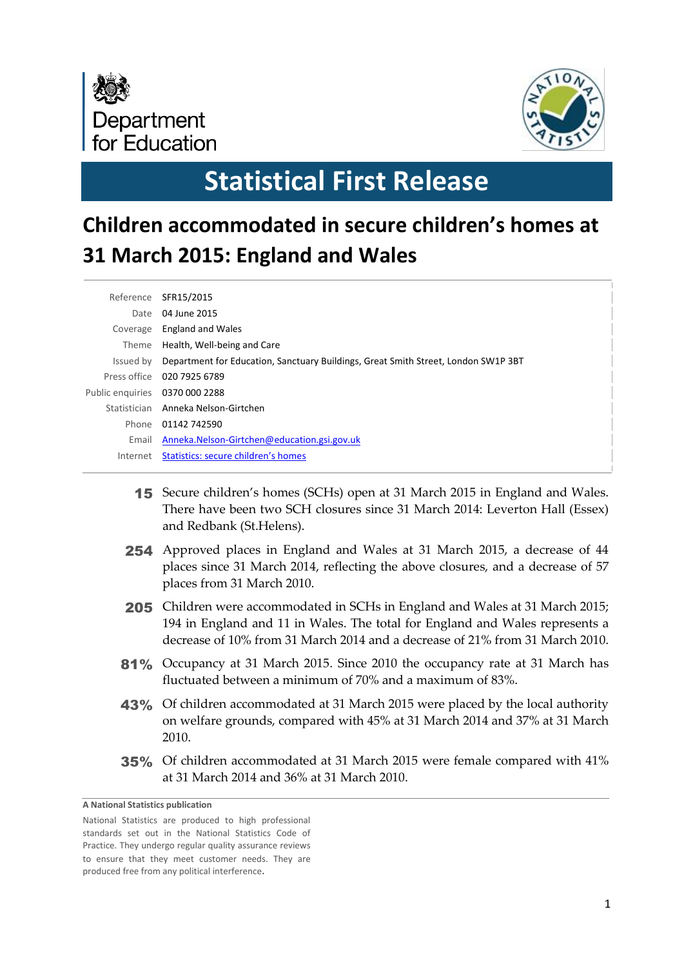



# **Statistical First Release**

## **Children accommodated in secure children's homes at 31 March 2015: England and Wales**

| Reference                      | SFR15/2015                                                                         |
|--------------------------------|------------------------------------------------------------------------------------|
| Date                           | 04 June 2015                                                                       |
| Coverage                       | <b>England and Wales</b>                                                           |
| Theme                          | Health, Well-being and Care                                                        |
| Issued by                      | Department for Education, Sanctuary Buildings, Great Smith Street, London SW1P 3BT |
|                                | Press office 020 7925 6789                                                         |
| Public enquiries 0370 000 2288 |                                                                                    |
| Statistician                   | Anneka Nelson-Girtchen                                                             |
| Phone                          | 01142 742590                                                                       |
| Email                          | Anneka.Nelson-Girtchen@education.gsi.gov.uk                                        |
| Internet                       | Statistics: secure children's homes                                                |
|                                |                                                                                    |

- 15 Secure children's homes (SCHs) open at 31 March 2015 in England and Wales. There have been two SCH closures since 31 March 2014: Leverton Hall (Essex) and Redbank (St.Helens).
- 254 Approved places in England and Wales at 31 March 2015, a decrease of 44 places since 31 March 2014, reflecting the above closures, and a decrease of 57 places from 31 March 2010.
- 205 Children were accommodated in SCHs in England and Wales at 31 March 2015; 194 in England and 11 in Wales. The total for England and Wales represents a decrease of 10% from 31 March 2014 and a decrease of 21% from 31 March 2010.
- 81% Occupancy at 31 March 2015. Since 2010 the occupancy rate at 31 March has fluctuated between a minimum of 70% and a maximum of 83%.
- 43% Of children accommodated at 31 March 2015 were placed by the local authority on welfare grounds, compared with 45% at 31 March 2014 and 37% at 31 March 2010.
- 35% Of children accommodated at 31 March 2015 were female compared with 41% at 31 March 2014 and 36% at 31 March 2010.

**A National Statistics publication** 

National Statistics are produced to high professional standards set out in the National Statistics Code of Practice. They undergo regular quality assurance reviews to ensure that they meet customer needs. They are produced free from any political interference**.**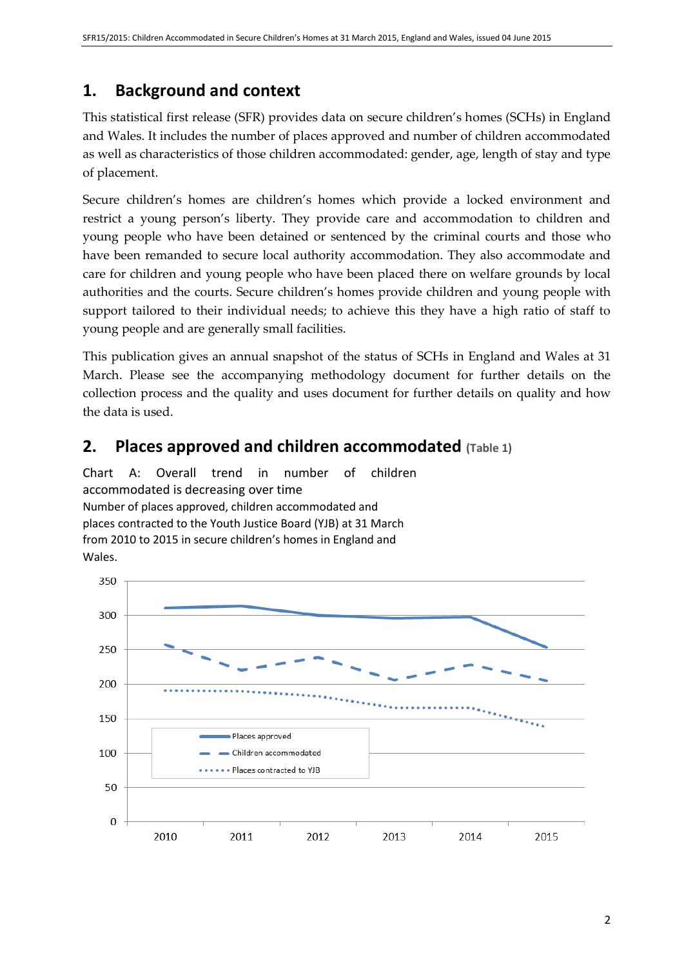## **1. Background and context**

This statistical first release (SFR) provides data on secure children's homes (SCHs) in England and Wales. It includes the number of places approved and number of children accommodated as well as characteristics of those children accommodated: gender, age, length of stay and type of placement.

Secure children's homes are children's homes which provide a locked environment and restrict a young person's liberty. They provide care and accommodation to children and young people who have been detained or sentenced by the criminal courts and those who have been remanded to secure local authority accommodation. They also accommodate and care for children and young people who have been placed there on welfare grounds by local authorities and the courts. Secure children's homes provide children and young people with support tailored to their individual needs; to achieve this they have a high ratio of staff to young people and are generally small facilities.

This publication gives an annual snapshot of the status of SCHs in England and Wales at 31 March. Please see the accompanying methodology document for further details on the collection process and the quality and uses document for further details on quality and how the data is used.

## **2. Places approved and children accommodated (Table 1)**

Chart A: Overall trend in number of children accommodated is decreasing over time Number of places approved, children accommodated and places contracted to the Youth Justice Board (YJB) at 31 March from 2010 to 2015 in secure children's homes in England and Wales.

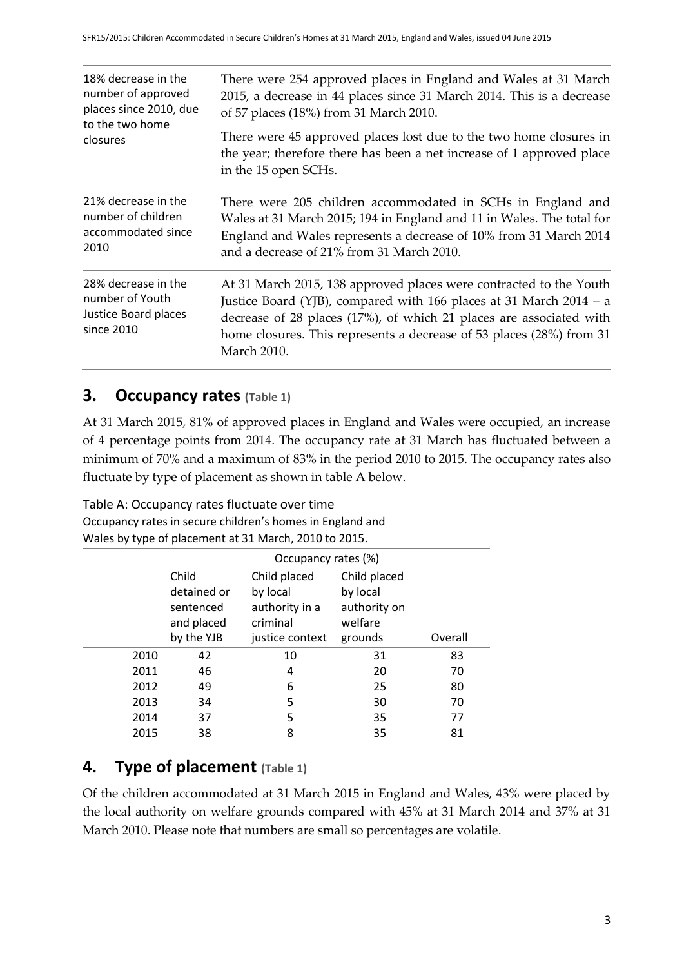| 18% decrease in the<br>number of approved<br>places since 2010, due<br>to the two home | There were 254 approved places in England and Wales at 31 March<br>2015, a decrease in 44 places since 31 March 2014. This is a decrease<br>of 57 places (18%) from 31 March 2010.                                                                                                                            |  |  |
|----------------------------------------------------------------------------------------|---------------------------------------------------------------------------------------------------------------------------------------------------------------------------------------------------------------------------------------------------------------------------------------------------------------|--|--|
| closures                                                                               | There were 45 approved places lost due to the two home closures in<br>the year; therefore there has been a net increase of 1 approved place<br>in the 15 open SCHs.                                                                                                                                           |  |  |
| 21% decrease in the<br>number of children<br>accommodated since<br>2010                | There were 205 children accommodated in SCHs in England and<br>Wales at 31 March 2015; 194 in England and 11 in Wales. The total for<br>England and Wales represents a decrease of 10% from 31 March 2014<br>and a decrease of 21% from 31 March 2010.                                                        |  |  |
| 28% decrease in the<br>number of Youth<br>Justice Board places<br>since 2010           | At 31 March 2015, 138 approved places were contracted to the Youth<br>Justice Board (YJB), compared with 166 places at 31 March 2014 - a<br>decrease of 28 places (17%), of which 21 places are associated with<br>home closures. This represents a decrease of 53 places (28%) from 31<br><b>March 2010.</b> |  |  |

#### **3. Occupancy rates (Table 1)**

At 31 March 2015, 81% of approved places in England and Wales were occupied, an increase of 4 percentage points from 2014. The occupancy rate at 31 March has fluctuated between a minimum of 70% and a maximum of 83% in the period 2010 to 2015. The occupancy rates also fluctuate by type of placement as shown in table A below.

Table A: Occupancy rates fluctuate over time Occupancy rates in secure children's homes in England and Wales by type of placement at 31 March, 2010 to 2015.

|      | Occupancy rates (%) |                 |              |         |  |
|------|---------------------|-----------------|--------------|---------|--|
|      | Child               | Child placed    | Child placed |         |  |
|      | detained or         | by local        | by local     |         |  |
|      | sentenced           | authority in a  | authority on |         |  |
|      | and placed          | criminal        | welfare      |         |  |
|      | by the YJB          | justice context | grounds      | Overall |  |
| 2010 | 42                  | 10              | 31           | 83      |  |
| 2011 | 46                  | 4               | 20           | 70      |  |
| 2012 | 49                  | 6               | 25           | 80      |  |
| 2013 | 34                  | 5               | 30           | 70      |  |
| 2014 | 37                  | 5               | 35           | 77      |  |
| 2015 | 38                  | 8               | 35           | 81      |  |

## **4. Type of placement (Table 1)**

Of the children accommodated at 31 March 2015 in England and Wales, 43% were placed by the local authority on welfare grounds compared with 45% at 31 March 2014 and 37% at 31 March 2010. Please note that numbers are small so percentages are volatile.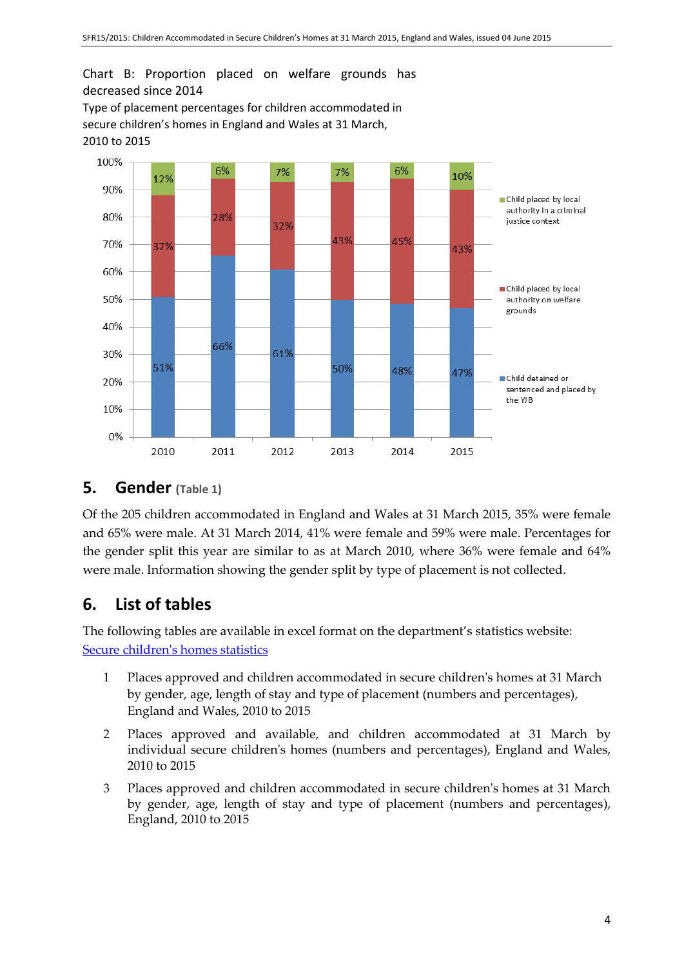Chart B: Proportion placed on welfare grounds has decreased since 2014

Type of placement percentages for children accommodated in secure children's homes in England and Wales at 31 March, 2010 to 2015



#### **5. Gender (Table 1)**

Of the 205 children accommodated in England and Wales at 31 March 2015, 35% were female and 65% were male. At 31 March 2014, 41% were female and 59% were male. Percentages for the gender split this year are similar to as at March 2010, where 36% were female and 64% were male. Information showing the gender split by type of placement is not collected.

## **6. List of tables**

The following tables are available in excel format on the department's statistics website: [Secure children's homes statistics](https://www.gov.uk/government/collections/statistics-secure-children-s-homes)

- 1 Places approved and children accommodated in secure children's homes at 31 March by gender, age, length of stay and type of placement (numbers and percentages), England and Wales, 2010 to 2015
- 2 Places approved and available, and children accommodated at 31 March by individual secure children's homes (numbers and percentages), England and Wales, 2010 to 2015
- 3 Places approved and children accommodated in secure children's homes at 31 March by gender, age, length of stay and type of placement (numbers and percentages), England, 2010 to 2015